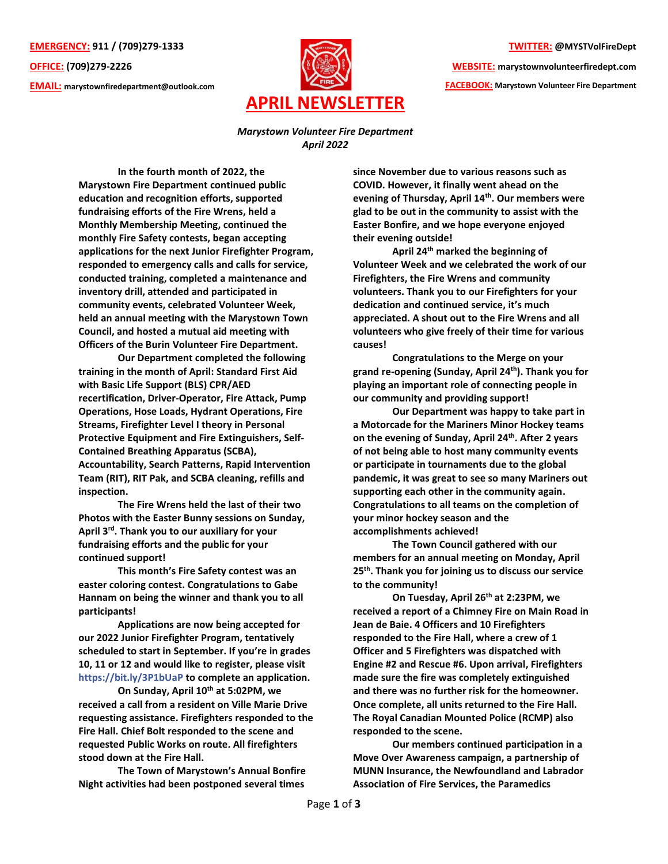**EMERGENCY: 911 / (709)279-1333**

**OFFICE: (709)279-2226**

**EMAIL: marystownfiredepartment@outlook.com**



## **TWITTER: @MYSTVolFireDept**

**WEBSITE: marystownvolunteerfiredept.com** 

**FACEBOOK: Marystown Volunteer Fire Department**

## *Marystown Volunteer Fire Department April 2022*

**In the fourth month of 2022, the Marystown Fire Department continued public education and recognition efforts, supported fundraising efforts of the Fire Wrens, held a Monthly Membership Meeting, continued the monthly Fire Safety contests, began accepting applications for the next Junior Firefighter Program, responded to emergency calls and calls for service, conducted training, completed a maintenance and inventory drill, attended and participated in community events, celebrated Volunteer Week, held an annual meeting with the Marystown Town Council, and hosted a mutual aid meeting with Officers of the Burin Volunteer Fire Department.**

**Our Department completed the following training in the month of April: Standard First Aid with Basic Life Support (BLS) CPR/AED recertification, Driver-Operator, Fire Attack, Pump Operations, Hose Loads, Hydrant Operations, Fire Streams, Firefighter Level I theory in Personal Protective Equipment and Fire Extinguishers, Self-Contained Breathing Apparatus (SCBA), Accountability, Search Patterns, Rapid Intervention Team (RIT), RIT Pak, and SCBA cleaning, refills and inspection.** 

**The Fire Wrens held the last of their two Photos with the Easter Bunny sessions on Sunday, April 3rd. Thank you to our auxiliary for your fundraising efforts and the public for your continued support!** 

**This month's Fire Safety contest was an easter coloring contest. Congratulations to Gabe Hannam on being the winner and thank you to all participants!**

**Applications are now being accepted for our 2022 Junior Firefighter Program, tentatively scheduled to start in September. If you're in grades 10, 11 or 12 and would like to register, please visit <https://bit.ly/3P1bUaP> to complete an application.** 

**On Sunday, April 10th at 5:02PM, we received a call from a resident on Ville Marie Drive requesting assistance. Firefighters responded to the Fire Hall. Chief Bolt responded to the scene and requested Public Works on route. All firefighters stood down at the Fire Hall.** 

**The Town of Marystown's Annual Bonfire Night activities had been postponed several times**  **since November due to various reasons such as COVID. However, it finally went ahead on the evening of Thursday, April 14th. Our members were glad to be out in the community to assist with the Easter Bonfire, and we hope everyone enjoyed their evening outside!**

**April 24th marked the beginning of Volunteer Week and we celebrated the work of our Firefighters, the Fire Wrens and community volunteers. Thank you to our Firefighters for your dedication and continued service, it's much appreciated. A shout out to the Fire Wrens and all volunteers who give freely of their time for various causes!** 

**Congratulations to the Merge on your grand re-opening (Sunday, April 24th). Thank you for playing an important role of connecting people in our community and providing support!** 

**Our Department was happy to take part in a Motorcade for the Mariners Minor Hockey teams on the evening of Sunday, April 24th . After 2 years of not being able to host many community events or participate in tournaments due to the global pandemic, it was great to see so many Mariners out supporting each other in the community again. Congratulations to all teams on the completion of your minor hockey season and the accomplishments achieved!**

**The Town Council gathered with our members for an annual meeting on Monday, April 25th. Thank you for joining us to discuss our service to the community!**

**On Tuesday, April 26th at 2:23PM, we received a report of a Chimney Fire on Main Road in Jean de Baie. 4 Officers and 10 Firefighters responded to the Fire Hall, where a crew of 1 Officer and 5 Firefighters was dispatched with Engine #2 and Rescue #6. Upon arrival, Firefighters made sure the fire was completely extinguished and there was no further risk for the homeowner. Once complete, all units returned to the Fire Hall. The Royal Canadian Mounted Police (RCMP) also responded to the scene.**

**Our members continued participation in a Move Over Awareness campaign, a partnership of MUNN Insurance, the Newfoundland and Labrador Association of Fire Services, the Paramedics**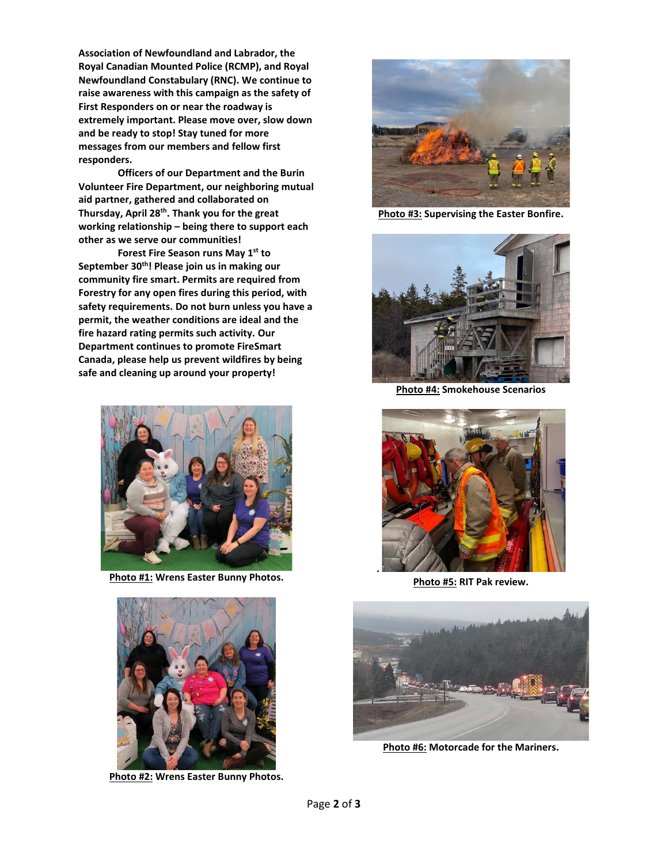**Association of Newfoundland and Labrador, the Royal Canadian Mounted Police (RCMP), and Royal Newfoundland Constabulary (RNC). We continue to raise awareness with this campaign as the safety of First Responders on or near the roadway is extremely important. Please move over, slow down and be ready to stop! Stay tuned for more messages from our members and fellow first responders.** 

**Officers of our Department and the Burin Volunteer Fire Department, our neighboring mutual aid partner, gathered and collaborated on Thursday, April 28th . Thank you for the great working relationship – being there to support each other as we serve our communities!**

**Forest Fire Season runs May 1 st to September 30th! Please join us in making our community fire smart. Permits are required from Forestry for any open fires during this period, with safety requirements. Do not burn unless you have a permit, the weather conditions are ideal and the fire hazard rating permits such activity. Our Department continues to promote FireSmart Canada, please help us prevent wildfires by being safe and cleaning up around your property!** 



**Photo #1: Wrens Easter Bunny Photos.**



**Photo #2: Wrens Easter Bunny Photos.**



**Photo #3: Supervising the Easter Bonfire.** 



**Photo #4: Smokehouse Scenarios**



**Photo #5: RIT Pak review.** 



**Photo #6: Motorcade for the Mariners.**